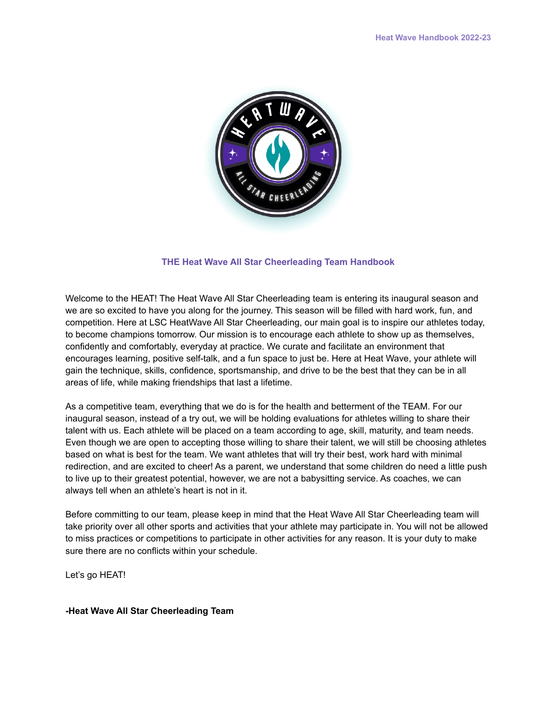

### **THE Heat Wave All Star Cheerleading Team Handbook**

Welcome to the HEAT! The Heat Wave All Star Cheerleading team is entering its inaugural season and we are so excited to have you along for the journey. This season will be filled with hard work, fun, and competition. Here at LSC HeatWave All Star Cheerleading, our main goal is to inspire our athletes today, to become champions tomorrow. Our mission is to encourage each athlete to show up as themselves, confidently and comfortably, everyday at practice. We curate and facilitate an environment that encourages learning, positive self-talk, and a fun space to just be. Here at Heat Wave, your athlete will gain the technique, skills, confidence, sportsmanship, and drive to be the best that they can be in all areas of life, while making friendships that last a lifetime.

As a competitive team, everything that we do is for the health and betterment of the TEAM. For our inaugural season, instead of a try out, we will be holding evaluations for athletes willing to share their talent with us. Each athlete will be placed on a team according to age, skill, maturity, and team needs. Even though we are open to accepting those willing to share their talent, we will still be choosing athletes based on what is best for the team. We want athletes that will try their best, work hard with minimal redirection, and are excited to cheer! As a parent, we understand that some children do need a little push to live up to their greatest potential, however, we are not a babysitting service. As coaches, we can always tell when an athlete's heart is not in it.

Before committing to our team, please keep in mind that the Heat Wave All Star Cheerleading team will take priority over all other sports and activities that your athlete may participate in. You will not be allowed to miss practices or competitions to participate in other activities for any reason. It is your duty to make sure there are no conflicts within your schedule.

Let's go HEAT!

### **-Heat Wave All Star Cheerleading Team**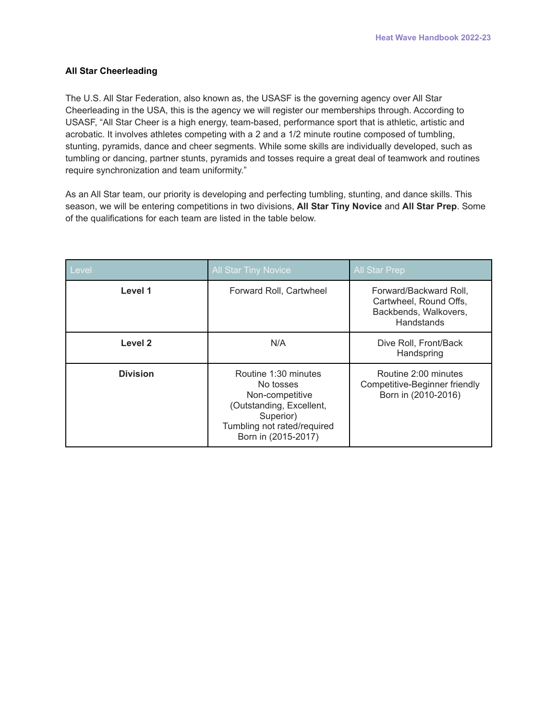# **All Star Cheerleading**

The U.S. All Star Federation, also known as, the USASF is the governing agency over All Star Cheerleading in the USA, this is the agency we will register our memberships through. According to USASF, "All Star Cheer is a high energy, team-based, performance sport that is athletic, artistic and acrobatic. It involves athletes competing with a 2 and a 1/2 minute routine composed of tumbling, stunting, pyramids, dance and cheer segments. While some skills are individually developed, such as tumbling or dancing, partner stunts, pyramids and tosses require a great deal of teamwork and routines require synchronization and team uniformity."

As an All Star team, our priority is developing and perfecting tumbling, stunting, and dance skills. This season, we will be entering competitions in two divisions, **All Star Tiny Novice** and **All Star Prep**. Some of the qualifications for each team are listed in the table below.

| Level           | <b>All Star Tiny Novice</b>                                                                                                                         | <b>All Star Prep</b>                                                                    |
|-----------------|-----------------------------------------------------------------------------------------------------------------------------------------------------|-----------------------------------------------------------------------------------------|
| Level 1         | Forward Roll, Cartwheel                                                                                                                             | Forward/Backward Roll,<br>Cartwheel, Round Offs,<br>Backbends, Walkovers,<br>Handstands |
| Level 2         | N/A                                                                                                                                                 | Dive Roll, Front/Back<br>Handspring                                                     |
| <b>Division</b> | Routine 1:30 minutes<br>No tosses<br>Non-competitive<br>(Outstanding, Excellent,<br>Superior)<br>Tumbling not rated/required<br>Born in (2015-2017) | Routine 2:00 minutes<br>Competitive-Beginner friendly<br>Born in (2010-2016)            |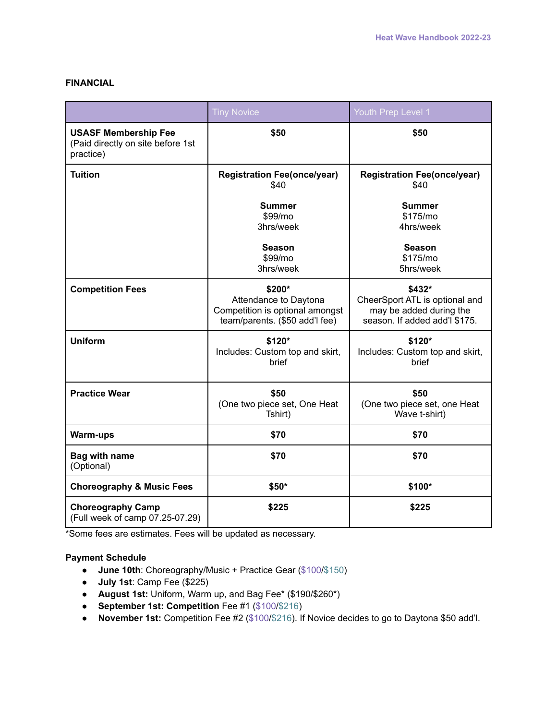# **FINANCIAL**

|                                                                               | <b>Tiny Novice</b>                                                                                   | Youth Prep Level 1                                                                                   |
|-------------------------------------------------------------------------------|------------------------------------------------------------------------------------------------------|------------------------------------------------------------------------------------------------------|
| <b>USASF Membership Fee</b><br>(Paid directly on site before 1st<br>practice) | \$50                                                                                                 | \$50                                                                                                 |
| <b>Tuition</b>                                                                | <b>Registration Fee(once/year)</b><br>\$40                                                           | <b>Registration Fee(once/year)</b><br>\$40                                                           |
|                                                                               | <b>Summer</b><br>\$99/mo<br>3hrs/week                                                                | <b>Summer</b><br>\$175/mo<br>4hrs/week                                                               |
|                                                                               | <b>Season</b><br>\$99/mo<br>3hrs/week                                                                | <b>Season</b><br>\$175/mo<br>5hrs/week                                                               |
| <b>Competition Fees</b>                                                       | \$200*<br>Attendance to Daytona<br>Competition is optional amongst<br>team/parents. (\$50 add'l fee) | \$432*<br>CheerSport ATL is optional and<br>may be added during the<br>season. If added add'l \$175. |
| Uniform                                                                       | \$120*<br>Includes: Custom top and skirt,<br>brief                                                   | \$120*<br>Includes: Custom top and skirt,<br>brief                                                   |
| <b>Practice Wear</b>                                                          | \$50<br>(One two piece set, One Heat<br>Tshirt)                                                      | \$50<br>(One two piece set, one Heat<br>Wave t-shirt)                                                |
| <b>Warm-ups</b>                                                               | \$70                                                                                                 | \$70                                                                                                 |
| <b>Bag with name</b><br>(Optional)                                            | \$70                                                                                                 | \$70                                                                                                 |
| <b>Choreography &amp; Music Fees</b>                                          | \$50*                                                                                                | \$100*                                                                                               |
| <b>Choreography Camp</b><br>(Full week of camp 07.25-07.29)                   | \$225                                                                                                | \$225                                                                                                |

\*Some fees are estimates. Fees will be updated as necessary.

# **Payment Schedule**

- **● June 10th**: Choreography/Music + Practice Gear (\$100/\$150)
- **● July 1st**: Camp Fee (\$225)
- **● August 1st:** Uniform, Warm up, and Bag Fee\* (\$190/\$260\*)
- **● September 1st: Competition** Fee #1 (\$100/\$216)
- **● November 1st:** Competition Fee #2 (\$100/\$216). If Novice decides to go to Daytona \$50 add'l.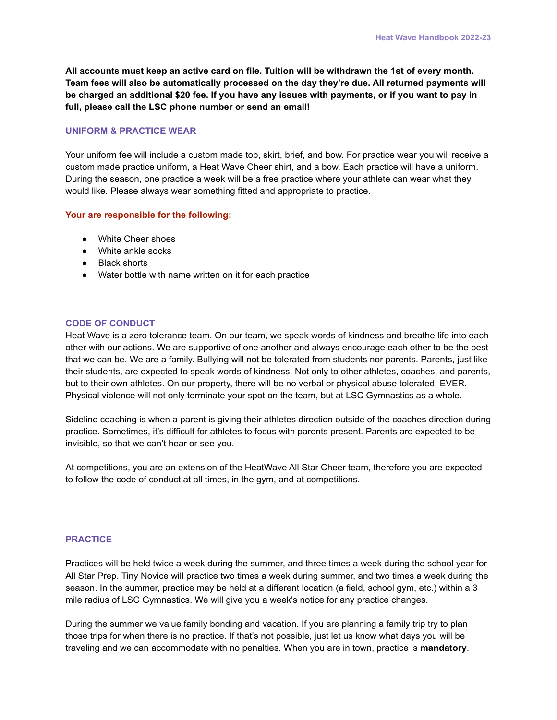**All accounts must keep an active card on file. Tuition will be withdrawn the 1st of every month. Team fees will also be automatically processed on the day they're due. All returned payments will** be charged an additional \$20 fee. If you have any issues with payments, or if you want to pay in **full, please call the LSC phone number or send an email!**

# **UNIFORM & PRACTICE WEAR**

Your uniform fee will include a custom made top, skirt, brief, and bow. For practice wear you will receive a custom made practice uniform, a Heat Wave Cheer shirt, and a bow. Each practice will have a uniform. During the season, one practice a week will be a free practice where your athlete can wear what they would like. Please always wear something fitted and appropriate to practice.

### **Your are responsible for the following:**

- White Cheer shoes
- White ankle socks
- Black shorts
- Water bottle with name written on it for each practice

### **CODE OF CONDUCT**

Heat Wave is a zero tolerance team. On our team, we speak words of kindness and breathe life into each other with our actions. We are supportive of one another and always encourage each other to be the best that we can be. We are a family. Bullying will not be tolerated from students nor parents. Parents, just like their students, are expected to speak words of kindness. Not only to other athletes, coaches, and parents, but to their own athletes. On our property, there will be no verbal or physical abuse tolerated, EVER. Physical violence will not only terminate your spot on the team, but at LSC Gymnastics as a whole.

Sideline coaching is when a parent is giving their athletes direction outside of the coaches direction during practice. Sometimes, it's difficult for athletes to focus with parents present. Parents are expected to be invisible, so that we can't hear or see you.

At competitions, you are an extension of the HeatWave All Star Cheer team, therefore you are expected to follow the code of conduct at all times, in the gym, and at competitions.

#### **PRACTICE**

Practices will be held twice a week during the summer, and three times a week during the school year for All Star Prep. Tiny Novice will practice two times a week during summer, and two times a week during the season. In the summer, practice may be held at a different location (a field, school gym, etc.) within a 3 mile radius of LSC Gymnastics. We will give you a week's notice for any practice changes.

During the summer we value family bonding and vacation. If you are planning a family trip try to plan those trips for when there is no practice. If that's not possible, just let us know what days you will be traveling and we can accommodate with no penalties. When you are in town, practice is **mandatory**.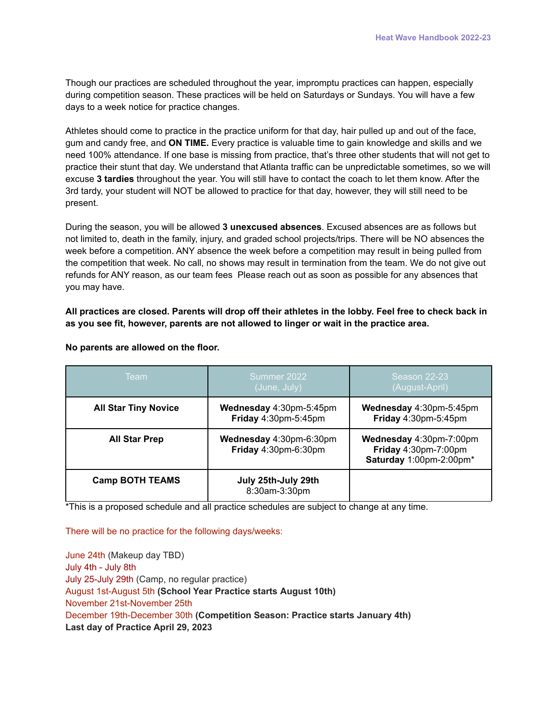Though our practices are scheduled throughout the year, impromptu practices can happen, especially during competition season. These practices will be held on Saturdays or Sundays. You will have a few days to a week notice for practice changes.

Athletes should come to practice in the practice uniform for that day, hair pulled up and out of the face, gum and candy free, and **ON TIME.** Every practice is valuable time to gain knowledge and skills and we need 100% attendance. If one base is missing from practice, that's three other students that will not get to practice their stunt that day. We understand that Atlanta traffic can be unpredictable sometimes, so we will excuse **3 tardies** throughout the year. You will still have to contact the coach to let them know. After the 3rd tardy, your student will NOT be allowed to practice for that day, however, they will still need to be present.

During the season, you will be allowed **3 unexcused absences**. Excused absences are as follows but not limited to, death in the family, injury, and graded school projects/trips. There will be NO absences the week before a competition. ANY absence the week before a competition may result in being pulled from the competition that week. No call, no shows may result in termination from the team. We do not give out refunds for ANY reason, as our team fees Please reach out as soon as possible for any absences that you may have.

All practices are closed. Parents will drop off their athletes in the lobby. Feel free to check back in **as you see fit, however, parents are not allowed to linger or wait in the practice area.**

| Team                        | Summer 2022<br>(June, July)                     | <b>Season 22-23</b><br>(August-April)                                      |
|-----------------------------|-------------------------------------------------|----------------------------------------------------------------------------|
| <b>All Star Tiny Novice</b> | Wednesday 4:30pm-5:45pm<br>Friday 4:30pm-5:45pm | Wednesday 4:30pm-5:45pm<br>Friday 4:30pm-5:45pm                            |
| <b>All Star Prep</b>        | Wednesday 4:30pm-6:30pm<br>Friday 4:30pm-6:30pm | Wednesday 4:30pm-7:00pm<br>Friday 4:30pm-7:00pm<br>Saturday 1:00pm-2:00pm* |
| <b>Camp BOTH TEAMS</b>      | July 25th-July 29th<br>8:30am-3:30pm            |                                                                            |

**No parents are allowed on the floor.**

\*This is a proposed schedule and all practice schedules are subject to change at any time.

There will be no practice for the following days/weeks:

June 24th (Makeup day TBD) July 4th - July 8th July 25-July 29th (Camp, no regular practice) August 1st-August 5th **(School Year Practice starts August 10th)** November 21st-November 25th December 19th-December 30th **(Competition Season: Practice starts January 4th) Last day of Practice April 29, 2023**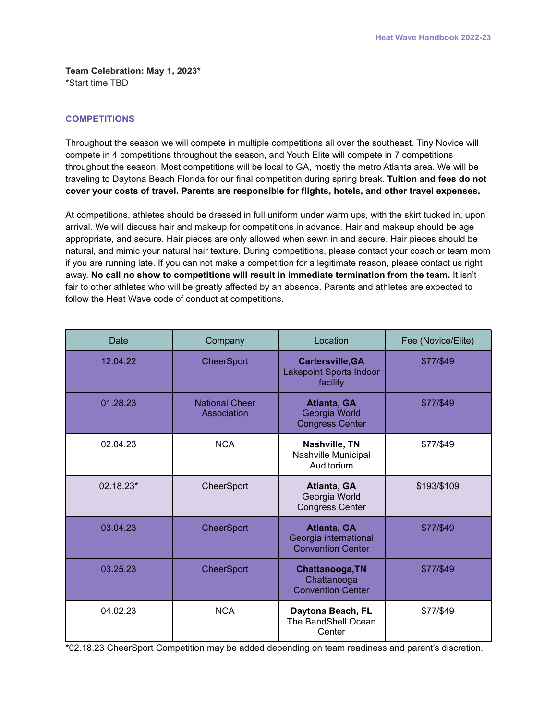**Team Celebration: May 1, 2023\*** \*Start time TBD

## **COMPETITIONS**

Throughout the season we will compete in multiple competitions all over the southeast. Tiny Novice will compete in 4 competitions throughout the season, and Youth Elite will compete in 7 competitions throughout the season. Most competitions will be local to GA, mostly the metro Atlanta area. We will be traveling to Daytona Beach Florida for our final competition during spring break. **Tuition and fees do not cover your costs of travel. Parents are responsible for flights, hotels, and other travel expenses.**

At competitions, athletes should be dressed in full uniform under warm ups, with the skirt tucked in, upon arrival. We will discuss hair and makeup for competitions in advance. Hair and makeup should be age appropriate, and secure. Hair pieces are only allowed when sewn in and secure. Hair pieces should be natural, and mimic your natural hair texture. During competitions, please contact your coach or team mom if you are running late. If you can not make a competition for a legitimate reason, please contact us right away. **No call no show to competitions will result in immediate termination from the team.** It isn't fair to other athletes who will be greatly affected by an absence. Parents and athletes are expected to follow the Heat Wave code of conduct at competitions.

| Date      | Company                              | Location                                                              | Fee (Novice/Elite) |
|-----------|--------------------------------------|-----------------------------------------------------------------------|--------------------|
| 12.04.22  | CheerSport                           | <b>Cartersville, GA</b><br><b>Lakepoint Sports Indoor</b><br>facility | \$77/\$49          |
| 01.28.23  | <b>National Cheer</b><br>Association | Atlanta, GA<br>Georgia World<br><b>Congress Center</b>                | \$77/\$49          |
| 02.04.23  | <b>NCA</b>                           | Nashville, TN<br>Nashville Municipal<br>Auditorium                    | \$77/\$49          |
| 02.18.23* | CheerSport                           | Atlanta, GA<br>Georgia World<br><b>Congress Center</b>                | \$193/\$109        |
| 03.04.23  | <b>CheerSport</b>                    | Atlanta, GA<br>Georgia international<br><b>Convention Center</b>      | \$77/\$49          |
| 03.25.23  | CheerSport                           | Chattanooga, TN<br>Chattanooga<br><b>Convention Center</b>            | \$77/\$49          |
| 04.02.23  | <b>NCA</b>                           | Daytona Beach, FL<br>The BandShell Ocean<br>Center                    | \$77/\$49          |

\*02.18.23 CheerSport Competition may be added depending on team readiness and parent's discretion.